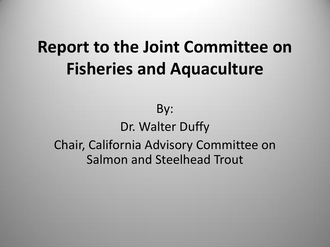# **Report to the Joint Committee on Fisheries and Aquaculture**

By: Dr. Walter Duffy Chair, California Advisory Committee on Salmon and Steelhead Trout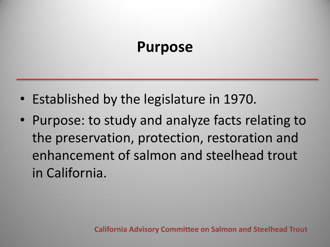#### **Purpose**

- Established by the legislature in 1970.
- Purpose: to study and analyze facts relating to the preservation, protection, restoration and enhancement of salmon and steelhead trout in California.

**California Advisory Committee on Salmon and Steelhead Trout**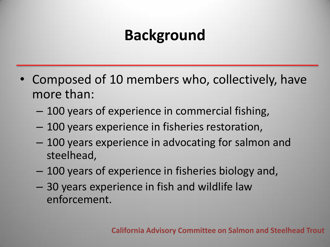## **Background**

- Composed of 10 members who, collectively, have more than:
	- 100 years of experience in commercial fishing,
	- 100 years experience in fisheries restoration,
	- 100 years experience in advocating for salmon and steelhead,
	- 100 years of experience in fisheries biology and,
	- 30 years experience in fish and wildlife law enforcement.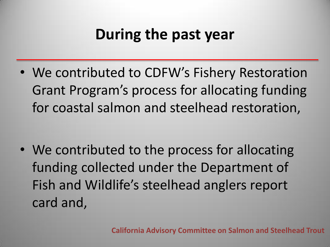### **During the past year**

• We contributed to CDFW's Fishery Restoration Grant Program's process for allocating funding for coastal salmon and steelhead restoration,

• We contributed to the process for allocating funding collected under the Department of Fish and Wildlife's steelhead anglers report card and,

**California Advisory Committee on Salmon and Steelhead Trout**